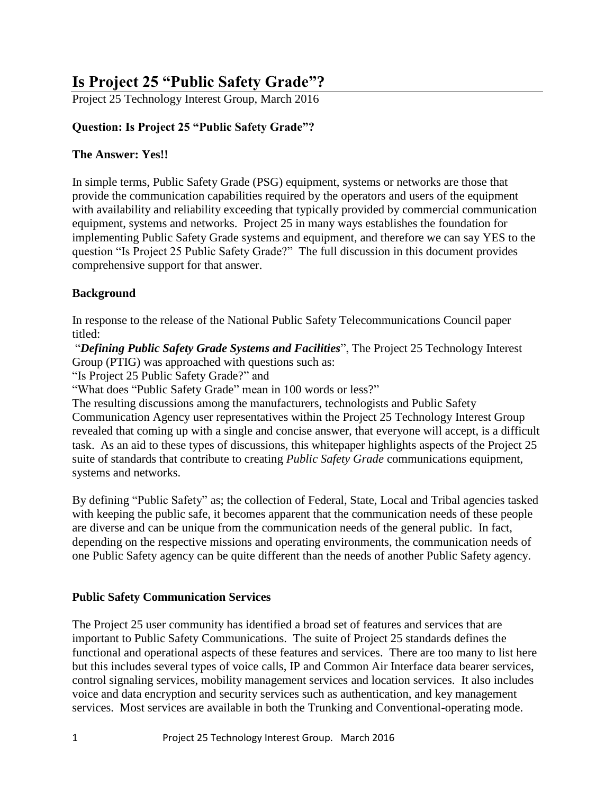# **Is Project 25 "Public Safety Grade"?**

Project 25 Technology Interest Group, March 2016

## **Question: Is Project 25 "Public Safety Grade"?**

## **The Answer: Yes!!**

In simple terms, Public Safety Grade (PSG) equipment, systems or networks are those that provide the communication capabilities required by the operators and users of the equipment with availability and reliability exceeding that typically provided by commercial communication equipment, systems and networks. Project 25 in many ways establishes the foundation for implementing Public Safety Grade systems and equipment, and therefore we can say YES to the question "Is Project 25 Public Safety Grade?" The full discussion in this document provides comprehensive support for that answer.

## **Background**

In response to the release of the National Public Safety Telecommunications Council paper titled:

"*Defining Public Safety Grade Systems and Facilities*", The Project 25 Technology Interest Group (PTIG) was approached with questions such as:

"Is Project 25 Public Safety Grade?" and

"What does "Public Safety Grade" mean in 100 words or less?"

The resulting discussions among the manufacturers, technologists and Public Safety Communication Agency user representatives within the Project 25 Technology Interest Group revealed that coming up with a single and concise answer, that everyone will accept, is a difficult task. As an aid to these types of discussions, this whitepaper highlights aspects of the Project 25 suite of standards that contribute to creating *Public Safety Grade* communications equipment, systems and networks.

By defining "Public Safety" as; the collection of Federal, State, Local and Tribal agencies tasked with keeping the public safe, it becomes apparent that the communication needs of these people are diverse and can be unique from the communication needs of the general public. In fact, depending on the respective missions and operating environments, the communication needs of one Public Safety agency can be quite different than the needs of another Public Safety agency.

## **Public Safety Communication Services**

The Project 25 user community has identified a broad set of features and services that are important to Public Safety Communications. The suite of Project 25 standards defines the functional and operational aspects of these features and services. There are too many to list here but this includes several types of voice calls, IP and Common Air Interface data bearer services, control signaling services, mobility management services and location services. It also includes voice and data encryption and security services such as authentication, and key management services. Most services are available in both the Trunking and Conventional-operating mode.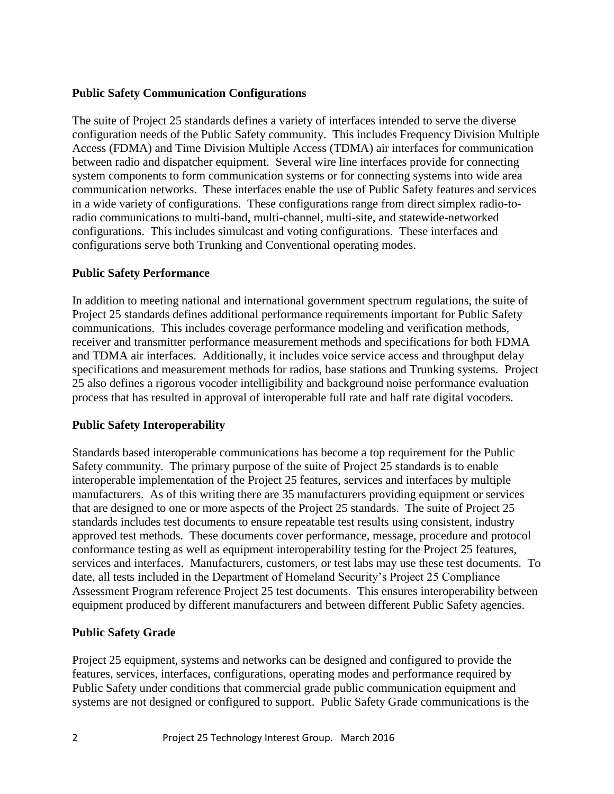#### **Public Safety Communication Configurations**

The suite of Project 25 standards defines a variety of interfaces intended to serve the diverse configuration needs of the Public Safety community. This includes Frequency Division Multiple Access (FDMA) and Time Division Multiple Access (TDMA) air interfaces for communication between radio and dispatcher equipment. Several wire line interfaces provide for connecting system components to form communication systems or for connecting systems into wide area communication networks. These interfaces enable the use of Public Safety features and services in a wide variety of configurations. These configurations range from direct simplex radio-toradio communications to multi-band, multi-channel, multi-site, and statewide-networked configurations. This includes simulcast and voting configurations. These interfaces and configurations serve both Trunking and Conventional operating modes.

#### **Public Safety Performance**

In addition to meeting national and international government spectrum regulations, the suite of Project 25 standards defines additional performance requirements important for Public Safety communications. This includes coverage performance modeling and verification methods, receiver and transmitter performance measurement methods and specifications for both FDMA and TDMA air interfaces. Additionally, it includes voice service access and throughput delay specifications and measurement methods for radios, base stations and Trunking systems. Project 25 also defines a rigorous vocoder intelligibility and background noise performance evaluation process that has resulted in approval of interoperable full rate and half rate digital vocoders.

## **Public Safety Interoperability**

Standards based interoperable communications has become a top requirement for the Public Safety community. The primary purpose of the suite of Project 25 standards is to enable interoperable implementation of the Project 25 features, services and interfaces by multiple manufacturers. As of this writing there are 35 manufacturers providing equipment or services that are designed to one or more aspects of the Project 25 standards. The suite of Project 25 standards includes test documents to ensure repeatable test results using consistent, industry approved test methods. These documents cover performance, message, procedure and protocol conformance testing as well as equipment interoperability testing for the Project 25 features, services and interfaces. Manufacturers, customers, or test labs may use these test documents. To date, all tests included in the Department of Homeland Security's Project 25 Compliance Assessment Program reference Project 25 test documents. This ensures interoperability between equipment produced by different manufacturers and between different Public Safety agencies.

## **Public Safety Grade**

Project 25 equipment, systems and networks can be designed and configured to provide the features, services, interfaces, configurations, operating modes and performance required by Public Safety under conditions that commercial grade public communication equipment and systems are not designed or configured to support. Public Safety Grade communications is the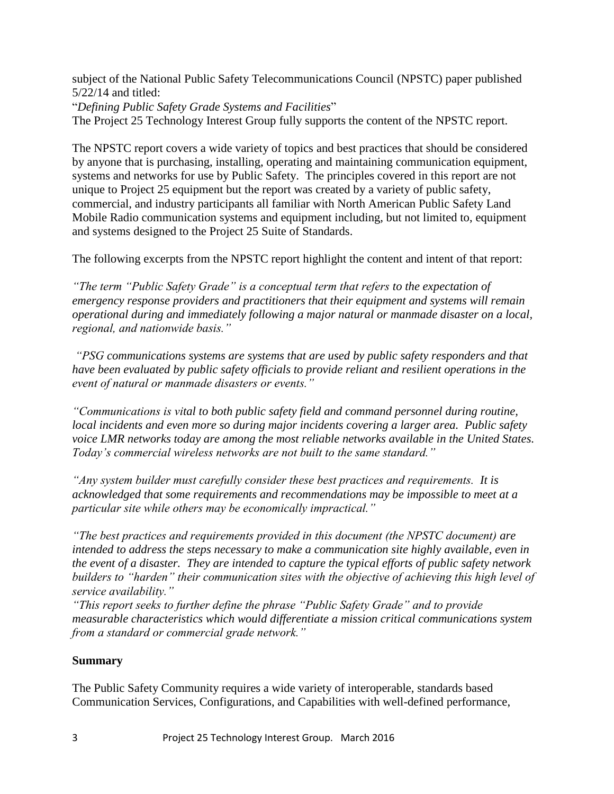subject of the National Public Safety Telecommunications Council (NPSTC) paper published 5/22/14 and titled:

"*Defining Public Safety Grade Systems and Facilities*"

The Project 25 Technology Interest Group fully supports the content of the NPSTC report.

The NPSTC report covers a wide variety of topics and best practices that should be considered by anyone that is purchasing, installing, operating and maintaining communication equipment, systems and networks for use by Public Safety. The principles covered in this report are not unique to Project 25 equipment but the report was created by a variety of public safety, commercial, and industry participants all familiar with North American Public Safety Land Mobile Radio communication systems and equipment including, but not limited to, equipment and systems designed to the Project 25 Suite of Standards.

The following excerpts from the NPSTC report highlight the content and intent of that report:

*"The term "Public Safety Grade" is a conceptual term that refers to the expectation of emergency response providers and practitioners that their equipment and systems will remain operational during and immediately following a major natural or manmade disaster on a local, regional, and nationwide basis."*

*"PSG communications systems are systems that are used by public safety responders and that have been evaluated by public safety officials to provide reliant and resilient operations in the event of natural or manmade disasters or events."*

*"Communications is vital to both public safety field and command personnel during routine, local incidents and even more so during major incidents covering a larger area. Public safety voice LMR networks today are among the most reliable networks available in the United States. Today's commercial wireless networks are not built to the same standard."*

*"Any system builder must carefully consider these best practices and requirements. It is acknowledged that some requirements and recommendations may be impossible to meet at a particular site while others may be economically impractical."*

*"The best practices and requirements provided in this document (the NPSTC document) are intended to address the steps necessary to make a communication site highly available, even in the event of a disaster. They are intended to capture the typical efforts of public safety network builders to "harden" their communication sites with the objective of achieving this high level of service availability."*

*"This report seeks to further define the phrase "Public Safety Grade" and to provide measurable characteristics which would differentiate a mission critical communications system from a standard or commercial grade network."*

#### **Summary**

The Public Safety Community requires a wide variety of interoperable, standards based Communication Services, Configurations, and Capabilities with well-defined performance,